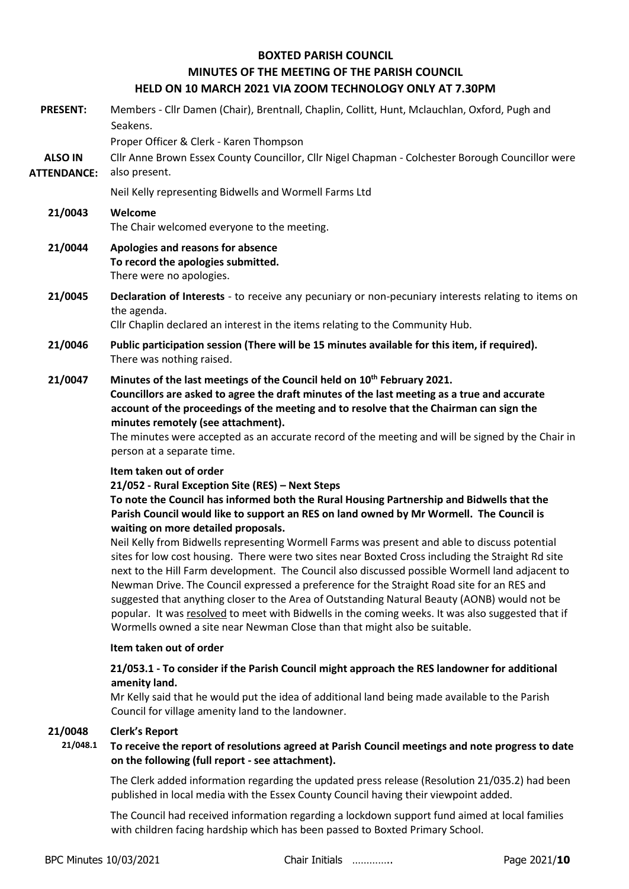### **BOXTED PARISH COUNCIL**

# **MINUTES OF THE MEETING OF THE PARISH COUNCIL**

# **HELD ON 10 MARCH 2021 VIA ZOOM TECHNOLOGY ONLY AT 7.30PM**

|                                      | <u>HELD ON IU MANCH ZUZI VIA ZOOMI ILCHNOLOGI ONLI AT 7.30FM</u>                                                                                                                                                                                                                                                                                                                                                                                                                                                                                                                                                                                                                                                                                                                                                                                                                                                                                                                                    |  |  |  |  |
|--------------------------------------|-----------------------------------------------------------------------------------------------------------------------------------------------------------------------------------------------------------------------------------------------------------------------------------------------------------------------------------------------------------------------------------------------------------------------------------------------------------------------------------------------------------------------------------------------------------------------------------------------------------------------------------------------------------------------------------------------------------------------------------------------------------------------------------------------------------------------------------------------------------------------------------------------------------------------------------------------------------------------------------------------------|--|--|--|--|
| <b>PRESENT:</b>                      | Members - Cllr Damen (Chair), Brentnall, Chaplin, Collitt, Hunt, Mclauchlan, Oxford, Pugh and<br>Seakens.                                                                                                                                                                                                                                                                                                                                                                                                                                                                                                                                                                                                                                                                                                                                                                                                                                                                                           |  |  |  |  |
| <b>ALSO IN</b><br><b>ATTENDANCE:</b> | Proper Officer & Clerk - Karen Thompson<br>Cllr Anne Brown Essex County Councillor, Cllr Nigel Chapman - Colchester Borough Councillor were<br>also present.                                                                                                                                                                                                                                                                                                                                                                                                                                                                                                                                                                                                                                                                                                                                                                                                                                        |  |  |  |  |
|                                      | Neil Kelly representing Bidwells and Wormell Farms Ltd                                                                                                                                                                                                                                                                                                                                                                                                                                                                                                                                                                                                                                                                                                                                                                                                                                                                                                                                              |  |  |  |  |
| 21/0043                              | Welcome<br>The Chair welcomed everyone to the meeting.                                                                                                                                                                                                                                                                                                                                                                                                                                                                                                                                                                                                                                                                                                                                                                                                                                                                                                                                              |  |  |  |  |
| 21/0044                              | Apologies and reasons for absence<br>To record the apologies submitted.<br>There were no apologies.                                                                                                                                                                                                                                                                                                                                                                                                                                                                                                                                                                                                                                                                                                                                                                                                                                                                                                 |  |  |  |  |
| 21/0045                              | Declaration of Interests - to receive any pecuniary or non-pecuniary interests relating to items on<br>the agenda.<br>Cllr Chaplin declared an interest in the items relating to the Community Hub.                                                                                                                                                                                                                                                                                                                                                                                                                                                                                                                                                                                                                                                                                                                                                                                                 |  |  |  |  |
| 21/0046                              | Public participation session (There will be 15 minutes available for this item, if required).<br>There was nothing raised.                                                                                                                                                                                                                                                                                                                                                                                                                                                                                                                                                                                                                                                                                                                                                                                                                                                                          |  |  |  |  |
| 21/0047                              | Minutes of the last meetings of the Council held on 10 <sup>th</sup> February 2021.<br>Councillors are asked to agree the draft minutes of the last meeting as a true and accurate<br>account of the proceedings of the meeting and to resolve that the Chairman can sign the<br>minutes remotely (see attachment).<br>The minutes were accepted as an accurate record of the meeting and will be signed by the Chair in<br>person at a separate time.                                                                                                                                                                                                                                                                                                                                                                                                                                                                                                                                              |  |  |  |  |
|                                      | Item taken out of order<br>21/052 - Rural Exception Site (RES) - Next Steps<br>To note the Council has informed both the Rural Housing Partnership and Bidwells that the<br>Parish Council would like to support an RES on land owned by Mr Wormell. The Council is<br>waiting on more detailed proposals.<br>Neil Kelly from Bidwells representing Wormell Farms was present and able to discuss potential<br>sites for low cost housing. There were two sites near Boxted Cross including the Straight Rd site<br>next to the Hill Farm development. The Council also discussed possible Wormell land adjacent to<br>Newman Drive. The Council expressed a preference for the Straight Road site for an RES and<br>suggested that anything closer to the Area of Outstanding Natural Beauty (AONB) would not be<br>popular. It was resolved to meet with Bidwells in the coming weeks. It was also suggested that if<br>Wormells owned a site near Newman Close than that might also be suitable. |  |  |  |  |
|                                      | Item taken out of order                                                                                                                                                                                                                                                                                                                                                                                                                                                                                                                                                                                                                                                                                                                                                                                                                                                                                                                                                                             |  |  |  |  |
|                                      | 21/053.1 - To consider if the Parish Council might approach the RES landowner for additional<br>amenity land.<br>Mr Kelly said that he would put the idea of additional land being made available to the Parish<br>Council for village amenity land to the landowner.                                                                                                                                                                                                                                                                                                                                                                                                                                                                                                                                                                                                                                                                                                                               |  |  |  |  |
| 21/0048<br>21/048.1                  | <b>Clerk's Report</b><br>To receive the report of resolutions agreed at Parish Council meetings and note progress to date                                                                                                                                                                                                                                                                                                                                                                                                                                                                                                                                                                                                                                                                                                                                                                                                                                                                           |  |  |  |  |

**on the following (full report - see attachment).** The Clerk added information regarding the updated press release (Resolution 21/035.2) had been published in local media with the Essex County Council having their viewpoint added.

The Council had received information regarding a lockdown support fund aimed at local families with children facing hardship which has been passed to Boxted Primary School.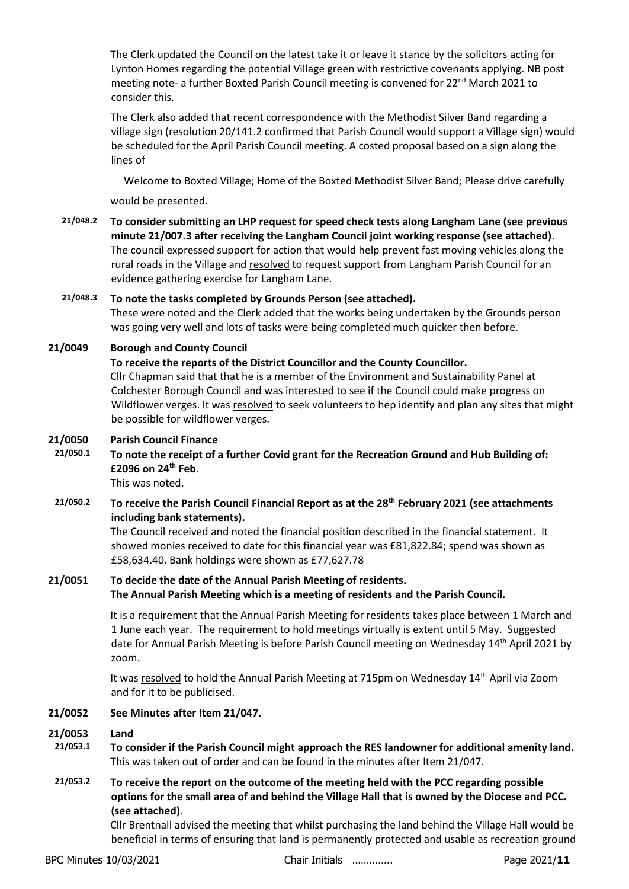The Clerk updated the Council on the latest take it or leave it stance by the solicitors acting for Lynton Homes regarding the potential Village green with restrictive covenants applying. NB post meeting note- a further Boxted Parish Council meeting is convened for  $22^{nd}$  March 2021 to consider this.

The Clerk also added that recent correspondence with the Methodist Silver Band regarding a village sign (resolution 20/141.2 confirmed that Parish Council would support a Village sign) would be scheduled for the April Parish Council meeting. A costed proposal based on a sign along the lines of

Welcome to Boxted Village; Home of the Boxted Methodist Silver Band; Please drive carefully

would be presented.

**21/048.2 To consider submitting an LHP request for speed check tests along Langham Lane (see previous minute 21/007.3 after receiving the Langham Council joint working response (see attached).** The council expressed support for action that would help prevent fast moving vehicles along the rural roads in the Village and resolved to request support from Langham Parish Council for an evidence gathering exercise for Langham Lane.

### **21/048.3 To note the tasks completed by Grounds Person (see attached).** These were noted and the Clerk added that the works being undertaken by the Grounds person was going very well and lots of tasks were being completed much quicker then before.

# **21/0049 Borough and County Council**

**To receive the reports of the District Councillor and the County Councillor.**

Cllr Chapman said that that he is a member of the Environment and Sustainability Panel at Colchester Borough Council and was interested to see if the Council could make progress on Wildflower verges. It was resolved to seek volunteers to hep identify and plan any sites that might be possible for wildflower verges.

### **21/0050 Parish Council Finance**

**21/050.1 To note the receipt of a further Covid grant for the Recreation Ground and Hub Building of: £2096 on 24th Feb.**

This was noted.

**21/050.2 To receive the Parish Council Financial Report as at the 28th February 2021 (see attachments including bank statements).**

> The Council received and noted the financial position described in the financial statement. It showed monies received to date for this financial year was £81,822.84; spend was shown as £58,634.40. Bank holdings were shown as £77,627.78

# **21/0051 To decide the date of the Annual Parish Meeting of residents. The Annual Parish Meeting which is a meeting of residents and the Parish Council.**

It is a requirement that the Annual Parish Meeting for residents takes place between 1 March and 1 June each year. The requirement to hold meetings virtually is extent until 5 May. Suggested date for Annual Parish Meeting is before Parish Council meeting on Wednesday 14<sup>th</sup> April 2021 by zoom.

It was resolved to hold the Annual Parish Meeting at 715pm on Wednesday 14th April via Zoom and for it to be publicised.

### **21/0052 See Minutes after Item 21/047.**

### **21/0053 Land**

- **21/053.1 To consider if the Parish Council might approach the RES landowner for additional amenity land.** This was taken out of order and can be found in the minutes after Item 21/047.
- **21/053.2 To receive the report on the outcome of the meeting held with the PCC regarding possible options for the small area of and behind the Village Hall that is owned by the Diocese and PCC. (see attached).**

Cllr Brentnall advised the meeting that whilst purchasing the land behind the Village Hall would be beneficial in terms of ensuring that land is permanently protected and usable as recreation ground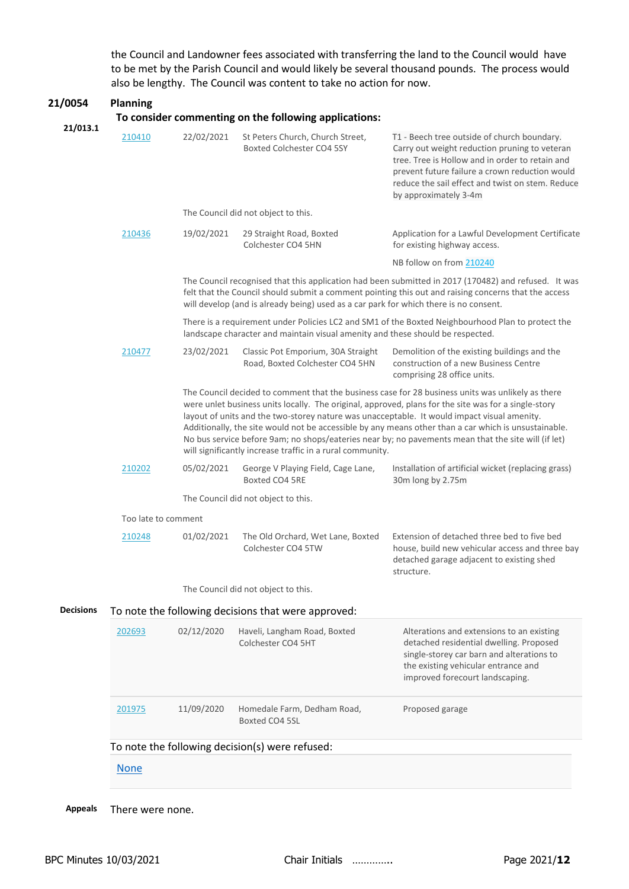the Council and Landowner fees associated with transferring the land to the Council would have to be met by the Parish Council and would likely be several thousand pounds. The process would also be lengthy. The Council was content to take no action for now.

| 21/0054          | <b>Planning</b><br>To consider commenting on the following applications:                                                                                                                                                                                                                                                                                                                                                                                                                                                                                                             |            |                                                                                                                                                                                                                                                                                                       |                                                                                                                                                                                                                                                                                |  |  |
|------------------|--------------------------------------------------------------------------------------------------------------------------------------------------------------------------------------------------------------------------------------------------------------------------------------------------------------------------------------------------------------------------------------------------------------------------------------------------------------------------------------------------------------------------------------------------------------------------------------|------------|-------------------------------------------------------------------------------------------------------------------------------------------------------------------------------------------------------------------------------------------------------------------------------------------------------|--------------------------------------------------------------------------------------------------------------------------------------------------------------------------------------------------------------------------------------------------------------------------------|--|--|
| 21/013.1         | 210410                                                                                                                                                                                                                                                                                                                                                                                                                                                                                                                                                                               | 22/02/2021 | St Peters Church, Church Street,<br>Boxted Colchester CO4 5SY                                                                                                                                                                                                                                         | T1 - Beech tree outside of church boundary.<br>Carry out weight reduction pruning to veteran<br>tree. Tree is Hollow and in order to retain and<br>prevent future failure a crown reduction would<br>reduce the sail effect and twist on stem. Reduce<br>by approximately 3-4m |  |  |
|                  |                                                                                                                                                                                                                                                                                                                                                                                                                                                                                                                                                                                      |            | The Council did not object to this.                                                                                                                                                                                                                                                                   |                                                                                                                                                                                                                                                                                |  |  |
|                  | 210436                                                                                                                                                                                                                                                                                                                                                                                                                                                                                                                                                                               | 19/02/2021 | 29 Straight Road, Boxted<br>Colchester CO4 5HN                                                                                                                                                                                                                                                        | Application for a Lawful Development Certificate<br>for existing highway access.                                                                                                                                                                                               |  |  |
|                  |                                                                                                                                                                                                                                                                                                                                                                                                                                                                                                                                                                                      |            |                                                                                                                                                                                                                                                                                                       | NB follow on from 210240                                                                                                                                                                                                                                                       |  |  |
|                  |                                                                                                                                                                                                                                                                                                                                                                                                                                                                                                                                                                                      |            | The Council recognised that this application had been submitted in 2017 (170482) and refused. It was<br>felt that the Council should submit a comment pointing this out and raising concerns that the access<br>will develop (and is already being) used as a car park for which there is no consent. |                                                                                                                                                                                                                                                                                |  |  |
|                  |                                                                                                                                                                                                                                                                                                                                                                                                                                                                                                                                                                                      |            | There is a requirement under Policies LC2 and SM1 of the Boxted Neighbourhood Plan to protect the<br>landscape character and maintain visual amenity and these should be respected.                                                                                                                   |                                                                                                                                                                                                                                                                                |  |  |
|                  | 210477                                                                                                                                                                                                                                                                                                                                                                                                                                                                                                                                                                               | 23/02/2021 | Classic Pot Emporium, 30A Straight<br>Road, Boxted Colchester CO4 5HN                                                                                                                                                                                                                                 | Demolition of the existing buildings and the<br>construction of a new Business Centre<br>comprising 28 office units.                                                                                                                                                           |  |  |
|                  | The Council decided to comment that the business case for 28 business units was unlikely as there<br>were unlet business units locally. The original, approved, plans for the site was for a single-story<br>layout of units and the two-storey nature was unacceptable. It would impact visual amenity.<br>Additionally, the site would not be accessible by any means other than a car which is unsustainable.<br>No bus service before 9am; no shops/eateries near by; no pavements mean that the site will (if let)<br>will significantly increase traffic in a rural community. |            |                                                                                                                                                                                                                                                                                                       |                                                                                                                                                                                                                                                                                |  |  |
|                  | 210202                                                                                                                                                                                                                                                                                                                                                                                                                                                                                                                                                                               | 05/02/2021 | George V Playing Field, Cage Lane,<br>Boxted CO4 5RE                                                                                                                                                                                                                                                  | Installation of artificial wicket (replacing grass)<br>30m long by 2.75m                                                                                                                                                                                                       |  |  |
|                  |                                                                                                                                                                                                                                                                                                                                                                                                                                                                                                                                                                                      |            | The Council did not object to this.                                                                                                                                                                                                                                                                   |                                                                                                                                                                                                                                                                                |  |  |
|                  | Too late to comment                                                                                                                                                                                                                                                                                                                                                                                                                                                                                                                                                                  |            |                                                                                                                                                                                                                                                                                                       |                                                                                                                                                                                                                                                                                |  |  |
|                  | 210248                                                                                                                                                                                                                                                                                                                                                                                                                                                                                                                                                                               | 01/02/2021 | The Old Orchard, Wet Lane, Boxted<br>Colchester CO4 5TW                                                                                                                                                                                                                                               | Extension of detached three bed to five bed<br>house, build new vehicular access and three bay<br>detached garage adjacent to existing shed<br>structure.                                                                                                                      |  |  |
|                  |                                                                                                                                                                                                                                                                                                                                                                                                                                                                                                                                                                                      |            | The Council did not object to this.                                                                                                                                                                                                                                                                   |                                                                                                                                                                                                                                                                                |  |  |
| <b>Decisions</b> | To note the following decisions that were approved:                                                                                                                                                                                                                                                                                                                                                                                                                                                                                                                                  |            |                                                                                                                                                                                                                                                                                                       |                                                                                                                                                                                                                                                                                |  |  |
|                  | 202693                                                                                                                                                                                                                                                                                                                                                                                                                                                                                                                                                                               | 02/12/2020 | Haveli, Langham Road, Boxted<br>Colchester CO4 5HT                                                                                                                                                                                                                                                    | Alterations and extensions to an existing<br>detached residential dwelling. Proposed<br>single-storey car barn and alterations to<br>the existing vehicular entrance and<br>improved forecourt landscaping.                                                                    |  |  |
|                  | 201975                                                                                                                                                                                                                                                                                                                                                                                                                                                                                                                                                                               | 11/09/2020 | Homedale Farm, Dedham Road,<br>Boxted CO4 5SL                                                                                                                                                                                                                                                         | Proposed garage                                                                                                                                                                                                                                                                |  |  |
|                  | To note the following decision(s) were refused:                                                                                                                                                                                                                                                                                                                                                                                                                                                                                                                                      |            |                                                                                                                                                                                                                                                                                                       |                                                                                                                                                                                                                                                                                |  |  |
|                  | <b>None</b>                                                                                                                                                                                                                                                                                                                                                                                                                                                                                                                                                                          |            |                                                                                                                                                                                                                                                                                                       |                                                                                                                                                                                                                                                                                |  |  |
|                  |                                                                                                                                                                                                                                                                                                                                                                                                                                                                                                                                                                                      |            |                                                                                                                                                                                                                                                                                                       |                                                                                                                                                                                                                                                                                |  |  |

**Appeals** There were none.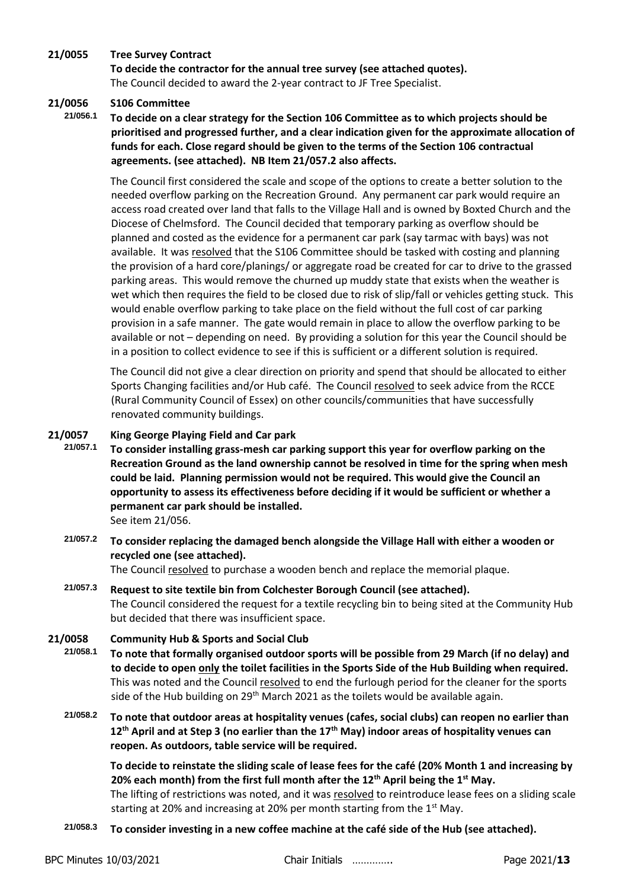### **21/0055 Tree Survey Contract**

**To decide the contractor for the annual tree survey (see attached quotes).** The Council decided to award the 2-year contract to JF Tree Specialist.

# **21/0056 S106 Committee**

**21/056.1 To decide on a clear strategy for the Section 106 Committee as to which projects should be prioritised and progressed further, and a clear indication given for the approximate allocation of funds for each. Close regard should be given to the terms of the Section 106 contractual agreements. (see attached). NB Item 21/057.2 also affects.**

The Council first considered the scale and scope of the options to create a better solution to the needed overflow parking on the Recreation Ground. Any permanent car park would require an access road created over land that falls to the Village Hall and is owned by Boxted Church and the Diocese of Chelmsford. The Council decided that temporary parking as overflow should be planned and costed as the evidence for a permanent car park (say tarmac with bays) was not available. It was resolved that the S106 Committee should be tasked with costing and planning the provision of a hard core/planings/ or aggregate road be created for car to drive to the grassed parking areas. This would remove the churned up muddy state that exists when the weather is wet which then requires the field to be closed due to risk of slip/fall or vehicles getting stuck. This would enable overflow parking to take place on the field without the full cost of car parking provision in a safe manner. The gate would remain in place to allow the overflow parking to be available or not – depending on need. By providing a solution for this year the Council should be in a position to collect evidence to see if this is sufficient or a different solution is required.

The Council did not give a clear direction on priority and spend that should be allocated to either Sports Changing facilities and/or Hub café. The Council resolved to seek advice from the RCCE (Rural Community Council of Essex) on other councils/communities that have successfully renovated community buildings.

### **21/0057 King George Playing Field and Car park**

- **21/057.1 To consider installing grass-mesh car parking support this year for overflow parking on the Recreation Ground as the land ownership cannot be resolved in time for the spring when mesh could be laid. Planning permission would not be required. This would give the Council an opportunity to assess its effectiveness before deciding if it would be sufficient or whether a permanent car park should be installed.** See item 21/056.
	- **21/057.2 To consider replacing the damaged bench alongside the Village Hall with either a wooden or recycled one (see attached).**

The Council resolved to purchase a wooden bench and replace the memorial plaque.

# **21/057.3 Request to site textile bin from Colchester Borough Council (see attached).** The Council considered the request for a textile recycling bin to being sited at the Community Hub but decided that there was insufficient space.

### **21/0058 Community Hub & Sports and Social Club**

**21/058.1 To note that formally organised outdoor sports will be possible from 29 March (if no delay) and to decide to open only the toilet facilities in the Sports Side of the Hub Building when required.**  This was noted and the Council resolved to end the furlough period for the cleaner for the sports side of the Hub building on 29<sup>th</sup> March 2021 as the toilets would be available again.

**21/058.2 To note that outdoor areas at hospitality venues (cafes, social clubs) can reopen no earlier than 12th April and at Step 3 (no earlier than the 17th May) indoor areas of hospitality venues can reopen. As outdoors, table service will be required.** 

**To decide to reinstate the sliding scale of lease fees for the café (20% Month 1 and increasing by 20% each month) from the first full month after the 12th April being the 1st May.** The lifting of restrictions was noted, and it was resolved to reintroduce lease fees on a sliding scale

starting at 20% and increasing at 20% per month starting from the  $1<sup>st</sup>$  May.